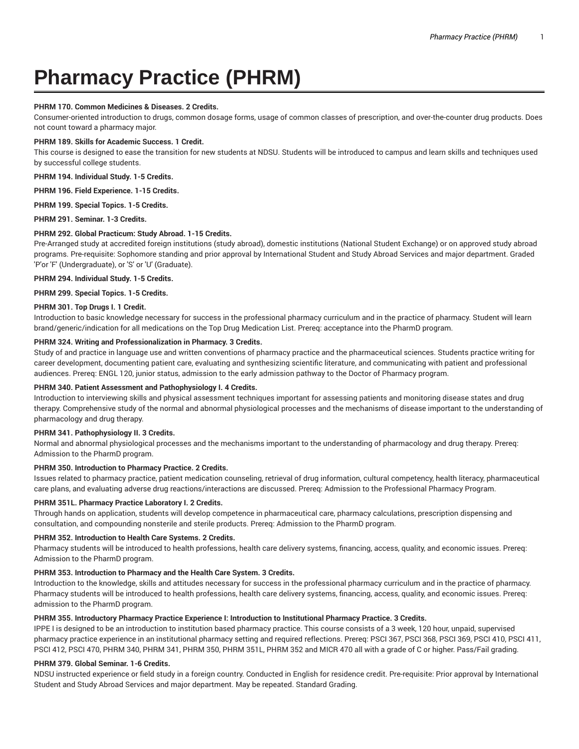# **Pharmacy Practice (PHRM)**

## **PHRM 170. Common Medicines & Diseases. 2 Credits.**

Consumer-oriented introduction to drugs, common dosage forms, usage of common classes of prescription, and over-the-counter drug products. Does not count toward a pharmacy major.

#### **PHRM 189. Skills for Academic Success. 1 Credit.**

This course is designed to ease the transition for new students at NDSU. Students will be introduced to campus and learn skills and techniques used by successful college students.

**PHRM 194. Individual Study. 1-5 Credits.**

**PHRM 196. Field Experience. 1-15 Credits.**

**PHRM 199. Special Topics. 1-5 Credits.**

**PHRM 291. Seminar. 1-3 Credits.**

## **PHRM 292. Global Practicum: Study Abroad. 1-15 Credits.**

Pre-Arranged study at accredited foreign institutions (study abroad), domestic institutions (National Student Exchange) or on approved study abroad programs. Pre-requisite: Sophomore standing and prior approval by International Student and Study Abroad Services and major department. Graded 'P'or 'F' (Undergraduate), or 'S' or 'U' (Graduate).

**PHRM 294. Individual Study. 1-5 Credits.**

**PHRM 299. Special Topics. 1-5 Credits.**

## **PHRM 301. Top Drugs I. 1 Credit.**

Introduction to basic knowledge necessary for success in the professional pharmacy curriculum and in the practice of pharmacy. Student will learn brand/generic/indication for all medications on the Top Drug Medication List. Prereq: acceptance into the PharmD program.

# **PHRM 324. Writing and Professionalization in Pharmacy. 3 Credits.**

Study of and practice in language use and written conventions of pharmacy practice and the pharmaceutical sciences. Students practice writing for career development, documenting patient care, evaluating and synthesizing scientific literature, and communicating with patient and professional audiences. Prereq: ENGL 120, junior status, admission to the early admission pathway to the Doctor of Pharmacy program.

#### **PHRM 340. Patient Assessment and Pathophysiology I. 4 Credits.**

Introduction to interviewing skills and physical assessment techniques important for assessing patients and monitoring disease states and drug therapy. Comprehensive study of the normal and abnormal physiological processes and the mechanisms of disease important to the understanding of pharmacology and drug therapy.

## **PHRM 341. Pathophysiology II. 3 Credits.**

Normal and abnormal physiological processes and the mechanisms important to the understanding of pharmacology and drug therapy. Prereq: Admission to the PharmD program.

#### **PHRM 350. Introduction to Pharmacy Practice. 2 Credits.**

Issues related to pharmacy practice, patient medication counseling, retrieval of drug information, cultural competency, health literacy, pharmaceutical care plans, and evaluating adverse drug reactions/interactions are discussed. Prereq: Admission to the Professional Pharmacy Program.

#### **PHRM 351L. Pharmacy Practice Laboratory I. 2 Credits.**

Through hands on application, students will develop competence in pharmaceutical care, pharmacy calculations, prescription dispensing and consultation, and compounding nonsterile and sterile products. Prereq: Admission to the PharmD program.

#### **PHRM 352. Introduction to Health Care Systems. 2 Credits.**

Pharmacy students will be introduced to health professions, health care delivery systems, financing, access, quality, and economic issues. Prereq: Admission to the PharmD program.

#### **PHRM 353. Introduction to Pharmacy and the Health Care System. 3 Credits.**

Introduction to the knowledge, skills and attitudes necessary for success in the professional pharmacy curriculum and in the practice of pharmacy. Pharmacy students will be introduced to health professions, health care delivery systems, financing, access, quality, and economic issues. Prereq: admission to the PharmD program.

#### **PHRM 355. Introductory Pharmacy Practice Experience I: Introduction to Institutional Pharmacy Practice. 3 Credits.**

IPPE I is designed to be an introduction to institution based pharmacy practice. This course consists of a 3 week, 120 hour, unpaid, supervised pharmacy practice experience in an institutional pharmacy setting and required reflections. Prereq: PSCI 367, PSCI 368, PSCI 369, PSCI 410, PSCI 411, PSCI 412, PSCI 470, PHRM 340, PHRM 341, PHRM 350, PHRM 351L, PHRM 352 and MICR 470 all with a grade of C or higher. Pass/Fail grading.

# **PHRM 379. Global Seminar. 1-6 Credits.**

NDSU instructed experience or field study in a foreign country. Conducted in English for residence credit. Pre-requisite: Prior approval by International Student and Study Abroad Services and major department. May be repeated. Standard Grading.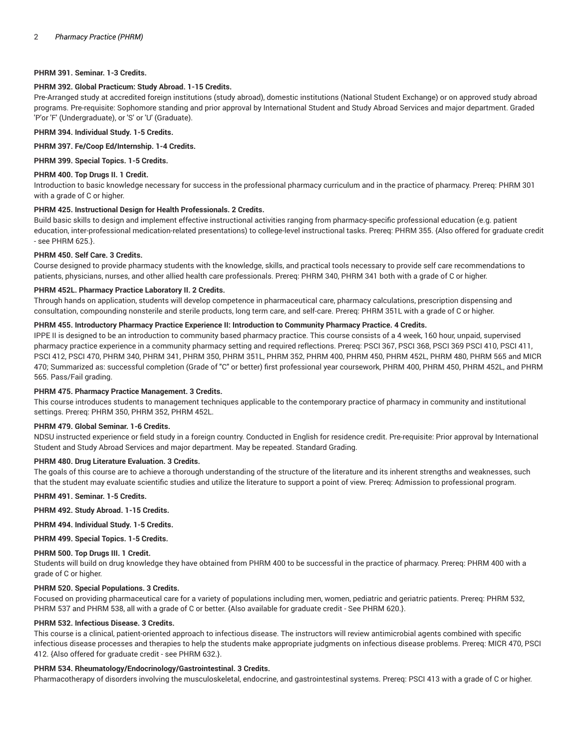## **PHRM 391. Seminar. 1-3 Credits.**

## **PHRM 392. Global Practicum: Study Abroad. 1-15 Credits.**

Pre-Arranged study at accredited foreign institutions (study abroad), domestic institutions (National Student Exchange) or on approved study abroad programs. Pre-requisite: Sophomore standing and prior approval by International Student and Study Abroad Services and major department. Graded 'P'or 'F' (Undergraduate), or 'S' or 'U' (Graduate).

## **PHRM 394. Individual Study. 1-5 Credits.**

#### **PHRM 397. Fe/Coop Ed/Internship. 1-4 Credits.**

**PHRM 399. Special Topics. 1-5 Credits.**

#### **PHRM 400. Top Drugs II. 1 Credit.**

Introduction to basic knowledge necessary for success in the professional pharmacy curriculum and in the practice of pharmacy. Prereq: PHRM 301 with a grade of C or higher.

#### **PHRM 425. Instructional Design for Health Professionals. 2 Credits.**

Build basic skills to design and implement effective instructional activities ranging from pharmacy-specific professional education (e.g. patient education, inter-professional medication-related presentations) to college-level instructional tasks. Prereq: PHRM 355. {Also offered for graduate credit - see PHRM 625.}.

## **PHRM 450. Self Care. 3 Credits.**

Course designed to provide pharmacy students with the knowledge, skills, and practical tools necessary to provide self care recommendations to patients, physicians, nurses, and other allied health care professionals. Prereq: PHRM 340, PHRM 341 both with a grade of C or higher.

# **PHRM 452L. Pharmacy Practice Laboratory II. 2 Credits.**

Through hands on application, students will develop competence in pharmaceutical care, pharmacy calculations, prescription dispensing and consultation, compounding nonsterile and sterile products, long term care, and self-care. Prereq: PHRM 351L with a grade of C or higher.

## **PHRM 455. Introductory Pharmacy Practice Experience II: Introduction to Community Pharmacy Practice. 4 Credits.**

IPPE II is designed to be an introduction to community based pharmacy practice. This course consists of a 4 week, 160 hour, unpaid, supervised pharmacy practice experience in a community pharmacy setting and required reflections. Prereq: PSCI 367, PSCI 368, PSCI 369 PSCI 410, PSCI 411, PSCI 412, PSCI 470, PHRM 340, PHRM 341, PHRM 350, PHRM 351L, PHRM 352, PHRM 400, PHRM 450, PHRM 452L, PHRM 480, PHRM 565 and MICR 470; Summarized as: successful completion (Grade of "C" or better) first professional year coursework, PHRM 400, PHRM 450, PHRM 452L, and PHRM 565. Pass/Fail grading.

#### **PHRM 475. Pharmacy Practice Management. 3 Credits.**

This course introduces students to management techniques applicable to the contemporary practice of pharmacy in community and institutional settings. Prereq: PHRM 350, PHRM 352, PHRM 452L.

#### **PHRM 479. Global Seminar. 1-6 Credits.**

NDSU instructed experience or field study in a foreign country. Conducted in English for residence credit. Pre-requisite: Prior approval by International Student and Study Abroad Services and major department. May be repeated. Standard Grading.

#### **PHRM 480. Drug Literature Evaluation. 3 Credits.**

The goals of this course are to achieve a thorough understanding of the structure of the literature and its inherent strengths and weaknesses, such that the student may evaluate scientific studies and utilize the literature to support a point of view. Prereq: Admission to professional program.

**PHRM 491. Seminar. 1-5 Credits.**

**PHRM 492. Study Abroad. 1-15 Credits.**

**PHRM 494. Individual Study. 1-5 Credits.**

**PHRM 499. Special Topics. 1-5 Credits.**

#### **PHRM 500. Top Drugs III. 1 Credit.**

Students will build on drug knowledge they have obtained from PHRM 400 to be successful in the practice of pharmacy. Prereq: PHRM 400 with a grade of C or higher.

#### **PHRM 520. Special Populations. 3 Credits.**

Focused on providing pharmaceutical care for a variety of populations including men, women, pediatric and geriatric patients. Prereq: PHRM 532, PHRM 537 and PHRM 538, all with a grade of C or better. {Also available for graduate credit - See PHRM 620.}.

# **PHRM 532. Infectious Disease. 3 Credits.**

This course is a clinical, patient-oriented approach to infectious disease. The instructors will review antimicrobial agents combined with specific infectious disease processes and therapies to help the students make appropriate judgments on infectious disease problems. Prereq: MICR 470, PSCI 412. {Also offered for graduate credit - see PHRM 632.}.

# **PHRM 534. Rheumatology/Endocrinology/Gastrointestinal. 3 Credits.**

Pharmacotherapy of disorders involving the musculoskeletal, endocrine, and gastrointestinal systems. Prereq: PSCI 413 with a grade of C or higher.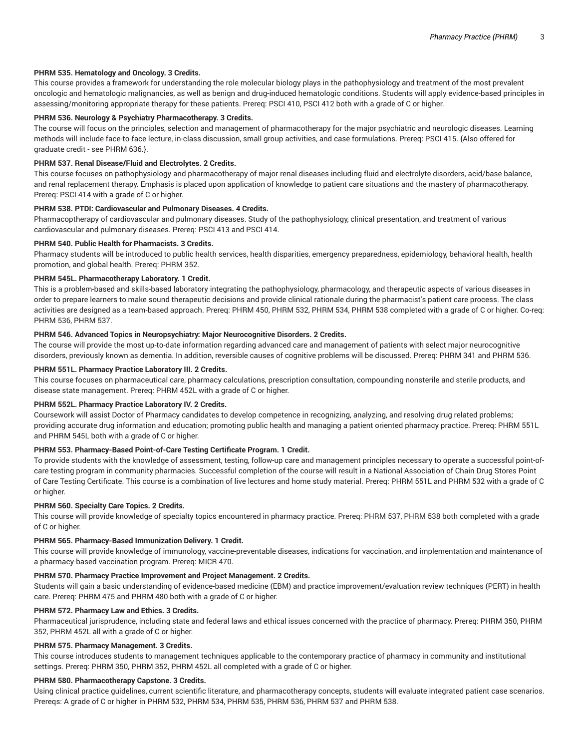# **PHRM 535. Hematology and Oncology. 3 Credits.**

This course provides a framework for understanding the role molecular biology plays in the pathophysiology and treatment of the most prevalent oncologic and hematologic malignancies, as well as benign and drug-induced hematologic conditions. Students will apply evidence-based principles in assessing/monitoring appropriate therapy for these patients. Prereq: PSCI 410, PSCI 412 both with a grade of C or higher.

## **PHRM 536. Neurology & Psychiatry Pharmacotherapy. 3 Credits.**

The course will focus on the principles, selection and management of pharmacotherapy for the major psychiatric and neurologic diseases. Learning methods will include face-to-face lecture, in-class discussion, small group activities, and case formulations. Prereq: PSCI 415. {Also offered for graduate credit - see PHRM 636.}.

# **PHRM 537. Renal Disease/Fluid and Electrolytes. 2 Credits.**

This course focuses on pathophysiology and pharmacotherapy of major renal diseases including fluid and electrolyte disorders, acid/base balance, and renal replacement therapy. Emphasis is placed upon application of knowledge to patient care situations and the mastery of pharmacotherapy. Prereq: PSCI 414 with a grade of C or higher.

## **PHRM 538. PTDI: Cardiovascular and Pulmonary Diseases. 4 Credits.**

Pharmacoptherapy of cardiovascular and pulmonary diseases. Study of the pathophysiology, clinical presentation, and treatment of various cardiovascular and pulmonary diseases. Prereq: PSCI 413 and PSCI 414.

# **PHRM 540. Public Health for Pharmacists. 3 Credits.**

Pharmacy students will be introduced to public health services, health disparities, emergency preparedness, epidemiology, behavioral health, health promotion, and global health. Prereq: PHRM 352.

## **PHRM 545L. Pharmacotherapy Laboratory. 1 Credit.**

This is a problem-based and skills-based laboratory integrating the pathophysiology, pharmacology, and therapeutic aspects of various diseases in order to prepare learners to make sound therapeutic decisions and provide clinical rationale during the pharmacist's patient care process. The class activities are designed as a team-based approach. Prereq: PHRM 450, PHRM 532, PHRM 534, PHRM 538 completed with a grade of C or higher. Co-req: PHRM 536, PHRM 537.

## **PHRM 546. Advanced Topics in Neuropsychiatry: Major Neurocognitive Disorders. 2 Credits.**

The course will provide the most up-to-date information regarding advanced care and management of patients with select major neurocognitive disorders, previously known as dementia. In addition, reversible causes of cognitive problems will be discussed. Prereq: PHRM 341 and PHRM 536.

## **PHRM 551L. Pharmacy Practice Laboratory III. 2 Credits.**

This course focuses on pharmaceutical care, pharmacy calculations, prescription consultation, compounding nonsterile and sterile products, and disease state management. Prereq: PHRM 452L with a grade of C or higher.

# **PHRM 552L. Pharmacy Practice Laboratory IV. 2 Credits.**

Coursework will assist Doctor of Pharmacy candidates to develop competence in recognizing, analyzing, and resolving drug related problems; providing accurate drug information and education; promoting public health and managing a patient oriented pharmacy practice. Prereq: PHRM 551L and PHRM 545L both with a grade of C or higher.

# **PHRM 553. Pharmacy-Based Point-of-Care Testing Certificate Program. 1 Credit.**

To provide students with the knowledge of assessment, testing, follow-up care and management principles necessary to operate a successful point-ofcare testing program in community pharmacies. Successful completion of the course will result in a National Association of Chain Drug Stores Point of Care Testing Certificate. This course is a combination of live lectures and home study material. Prereq: PHRM 551L and PHRM 532 with a grade of C or higher.

# **PHRM 560. Specialty Care Topics. 2 Credits.**

This course will provide knowledge of specialty topics encountered in pharmacy practice. Prereq: PHRM 537, PHRM 538 both completed with a grade of C or higher.

#### **PHRM 565. Pharmacy-Based Immunization Delivery. 1 Credit.**

This course will provide knowledge of immunology, vaccine-preventable diseases, indications for vaccination, and implementation and maintenance of a pharmacy-based vaccination program. Prereq: MICR 470.

#### **PHRM 570. Pharmacy Practice Improvement and Project Management. 2 Credits.**

Students will gain a basic understanding of evidence-based medicine (EBM) and practice improvement/evaluation review techniques (PERT) in health care. Prereq: PHRM 475 and PHRM 480 both with a grade of C or higher.

#### **PHRM 572. Pharmacy Law and Ethics. 3 Credits.**

Pharmaceutical jurisprudence, including state and federal laws and ethical issues concerned with the practice of pharmacy. Prereq: PHRM 350, PHRM 352, PHRM 452L all with a grade of C or higher.

# **PHRM 575. Pharmacy Management. 3 Credits.**

This course introduces students to management techniques applicable to the contemporary practice of pharmacy in community and institutional settings. Prereq: PHRM 350, PHRM 352, PHRM 452L all completed with a grade of C or higher.

## **PHRM 580. Pharmacotherapy Capstone. 3 Credits.**

Using clinical practice guidelines, current scientific literature, and pharmacotherapy concepts, students will evaluate integrated patient case scenarios. Prereqs: A grade of C or higher in PHRM 532, PHRM 534, PHRM 535, PHRM 536, PHRM 537 and PHRM 538.